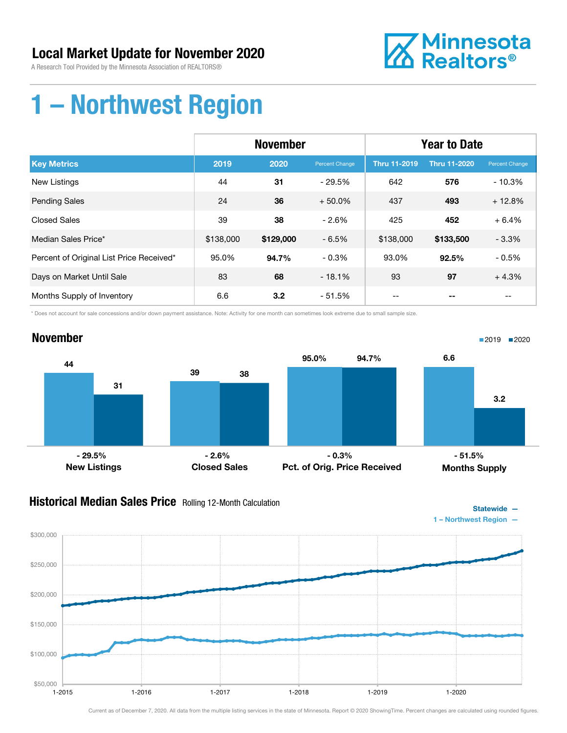### Local Market Update for November 2020

A Research Tool Provided by the Minnesota Association of REALTORS®



### 1 – Northwest Region

|                                          | <b>November</b> |           |                | <b>Year to Date</b> |                     |                |
|------------------------------------------|-----------------|-----------|----------------|---------------------|---------------------|----------------|
| <b>Key Metrics</b>                       | 2019            | 2020      | Percent Change | <b>Thru 11-2019</b> | <b>Thru 11-2020</b> | Percent Change |
| <b>New Listings</b>                      | 44              | 31        | $-29.5\%$      | 642                 | 576                 | $-10.3%$       |
| <b>Pending Sales</b>                     | 24              | 36        | $+50.0%$       | 437                 | 493                 | $+12.8%$       |
| <b>Closed Sales</b>                      | 39              | 38        | $-2.6%$        | 425                 | 452                 | $+6.4%$        |
| Median Sales Price*                      | \$138,000       | \$129,000 | $-6.5%$        | \$138,000           | \$133,500           | $-3.3%$        |
| Percent of Original List Price Received* | 95.0%           | 94.7%     | $-0.3%$        | 93.0%               | 92.5%               | $-0.5%$        |
| Days on Market Until Sale                | 83              | 68        | $-18.1%$       | 93                  | 97                  | $+4.3%$        |
| Months Supply of Inventory               | 6.6             | 3.2       | - 51.5%        | --                  |                     | --             |

\* Does not account for sale concessions and/or down payment assistance. Note: Activity for one month can sometimes look extreme due to small sample size.



### **Historical Median Sales Price** Rolling 12-Month Calculation

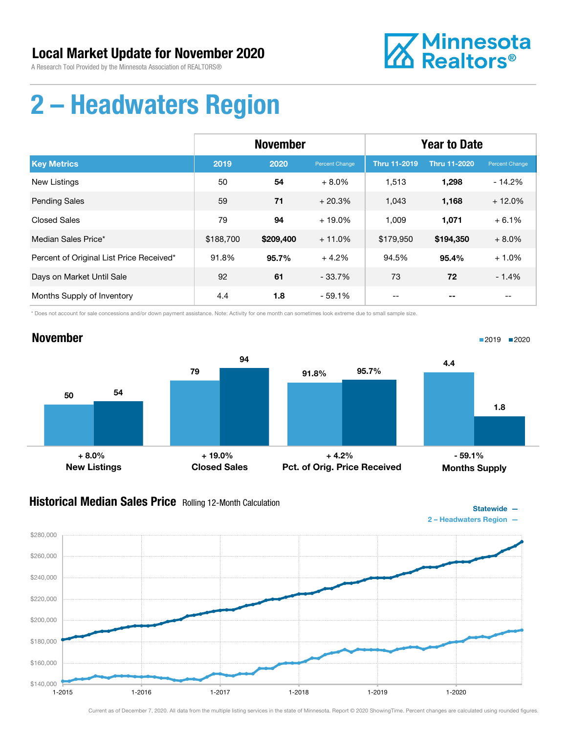

## 2 – Headwaters Region

|                                          | <b>November</b> |           |                | <b>Year to Date</b> |                     |                |
|------------------------------------------|-----------------|-----------|----------------|---------------------|---------------------|----------------|
| <b>Key Metrics</b>                       | 2019            | 2020      | Percent Change | <b>Thru 11-2019</b> | <b>Thru 11-2020</b> | Percent Change |
| <b>New Listings</b>                      | 50              | 54        | $+8.0%$        | 1,513               | 1,298               | $-14.2%$       |
| <b>Pending Sales</b>                     | 59              | 71        | $+20.3%$       | 1,043               | 1,168               | $+12.0%$       |
| <b>Closed Sales</b>                      | 79              | 94        | $+19.0%$       | 1,009               | 1,071               | $+6.1%$        |
| Median Sales Price*                      | \$188,700       | \$209,400 | $+11.0%$       | \$179,950           | \$194,350           | $+8.0%$        |
| Percent of Original List Price Received* | 91.8%           | 95.7%     | $+4.2%$        | 94.5%               | 95.4%               | $+1.0%$        |
| Days on Market Until Sale                | 92              | 61        | $-33.7%$       | 73                  | 72                  | $-1.4%$        |
| Months Supply of Inventory               | 4.4             | 1.8       | $-59.1%$       |                     |                     |                |

\* Does not account for sale concessions and/or down payment assistance. Note: Activity for one month can sometimes look extreme due to small sample size.



### **Historical Median Sales Price** Rolling 12-Month Calculation



■2019 2020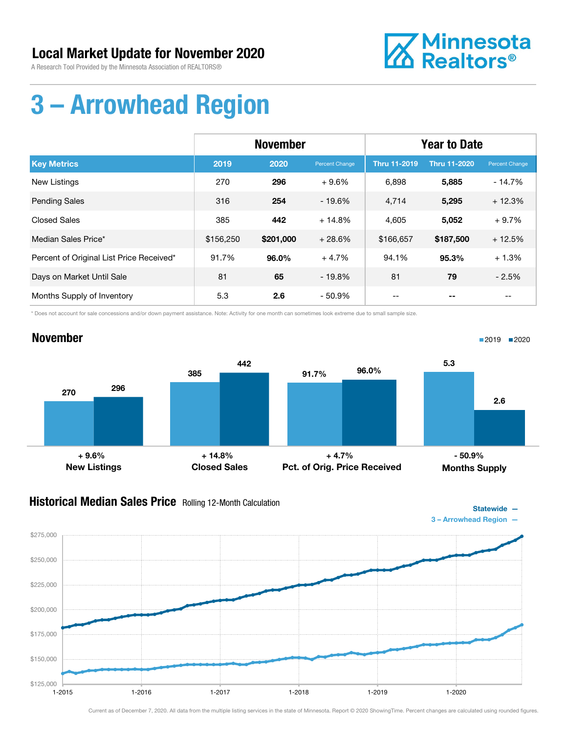

## 3 – Arrowhead Region

|                                          | <b>November</b> |           |                | <b>Year to Date</b> |                     |                |
|------------------------------------------|-----------------|-----------|----------------|---------------------|---------------------|----------------|
| <b>Key Metrics</b>                       | 2019            | 2020      | Percent Change | <b>Thru 11-2019</b> | <b>Thru 11-2020</b> | Percent Change |
| <b>New Listings</b>                      | 270             | 296       | $+9.6%$        | 6,898               | 5,885               | $-14.7%$       |
| <b>Pending Sales</b>                     | 316             | 254       | $-19.6%$       | 4,714               | 5,295               | $+12.3%$       |
| <b>Closed Sales</b>                      | 385             | 442       | $+14.8%$       | 4,605               | 5,052               | $+9.7%$        |
| Median Sales Price*                      | \$156,250       | \$201,000 | $+28.6%$       | \$166,657           | \$187,500           | $+12.5%$       |
| Percent of Original List Price Received* | 91.7%           | 96.0%     | $+4.7%$        | 94.1%               | 95.3%               | $+1.3%$        |
| Days on Market Until Sale                | 81              | 65        | $-19.8%$       | 81                  | 79                  | $-2.5%$        |
| Months Supply of Inventory               | 5.3             | 2.6       | - 50.9%        | --                  |                     | $- -$          |

\* Does not account for sale concessions and/or down payment assistance. Note: Activity for one month can sometimes look extreme due to small sample size.

#### November



#### **Historical Median Sales Price** Rolling 12-Month Calculation



■2019 2020

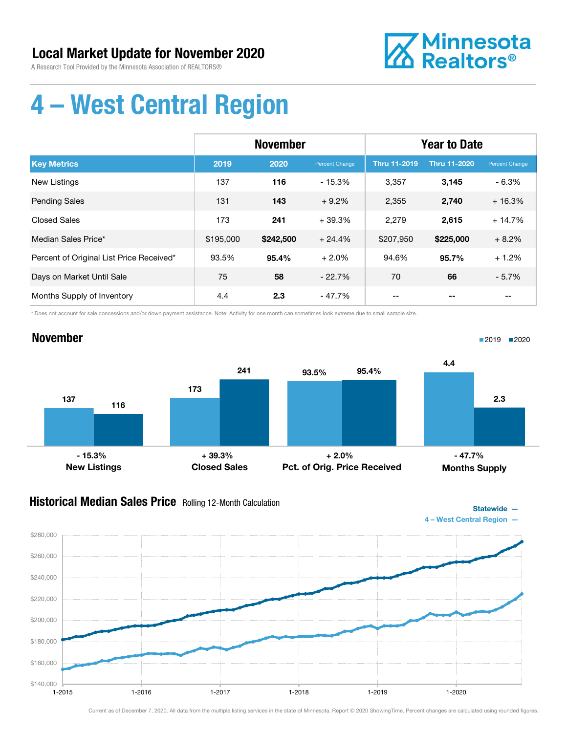

## 4 – West Central Region

|                                          | <b>November</b> |           |                | <b>Year to Date</b> |                     |                |
|------------------------------------------|-----------------|-----------|----------------|---------------------|---------------------|----------------|
| <b>Key Metrics</b>                       | 2019            | 2020      | Percent Change | <b>Thru 11-2019</b> | <b>Thru 11-2020</b> | Percent Change |
| <b>New Listings</b>                      | 137             | 116       | $-15.3%$       | 3,357               | 3,145               | $-6.3%$        |
| <b>Pending Sales</b>                     | 131             | 143       | $+9.2%$        | 2,355               | 2,740               | $+16.3%$       |
| <b>Closed Sales</b>                      | 173             | 241       | $+39.3%$       | 2,279               | 2,615               | $+14.7%$       |
| Median Sales Price*                      | \$195,000       | \$242,500 | $+24.4%$       | \$207,950           | \$225,000           | $+8.2%$        |
| Percent of Original List Price Received* | 93.5%           | 95.4%     | $+2.0%$        | 94.6%               | 95.7%               | $+1.2%$        |
| Days on Market Until Sale                | 75              | 58        | $-22.7%$       | 70                  | 66                  | $-5.7%$        |
| Months Supply of Inventory               | 4.4             | 2.3       | $-47.7\%$      |                     |                     |                |

\* Does not account for sale concessions and/or down payment assistance. Note: Activity for one month can sometimes look extreme due to small sample size.

#### November



### **Historical Median Sales Price** Rolling 12-Month Calculation



■2019 2020

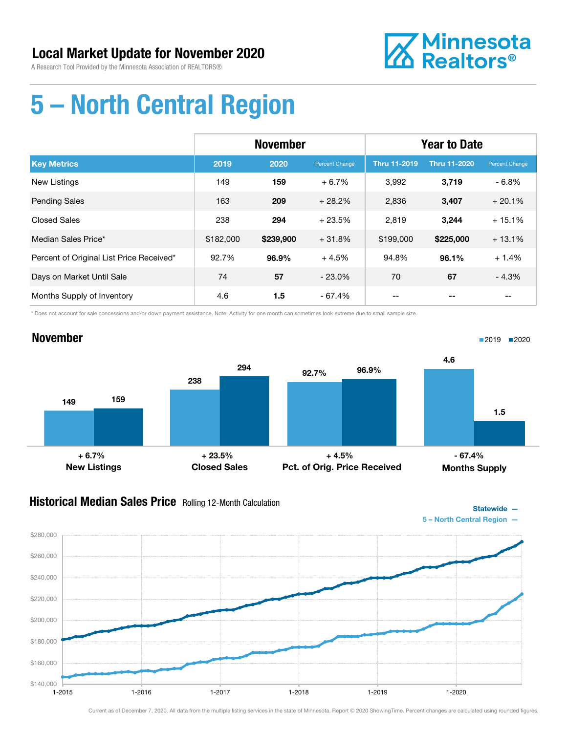

Statewide —

## 5 – North Central Region

|                                          | <b>November</b> |           |                | <b>Year to Date</b> |                     |                |
|------------------------------------------|-----------------|-----------|----------------|---------------------|---------------------|----------------|
| <b>Key Metrics</b>                       | 2019            | 2020      | Percent Change | <b>Thru 11-2019</b> | <b>Thru 11-2020</b> | Percent Change |
| <b>New Listings</b>                      | 149             | 159       | $+6.7%$        | 3.992               | 3,719               | $-6.8%$        |
| <b>Pending Sales</b>                     | 163             | 209       | $+28.2%$       | 2,836               | 3,407               | $+20.1%$       |
| <b>Closed Sales</b>                      | 238             | 294       | $+23.5%$       | 2,819               | 3.244               | $+15.1%$       |
| Median Sales Price*                      | \$182,000       | \$239,900 | $+31.8%$       | \$199,000           | \$225,000           | $+13.1%$       |
| Percent of Original List Price Received* | 92.7%           | 96.9%     | $+4.5%$        | 94.8%               | 96.1%               | $+1.4%$        |
| Days on Market Until Sale                | 74              | 57        | $-23.0%$       | 70                  | 67                  | $-4.3%$        |
| Months Supply of Inventory               | 4.6             | 1.5       | $-67.4%$       | --                  |                     | --             |

\* Does not account for sale concessions and/or down payment assistance. Note: Activity for one month can sometimes look extreme due to small sample size.



### Historical Median Sales Price Rolling 12-Month Calculation

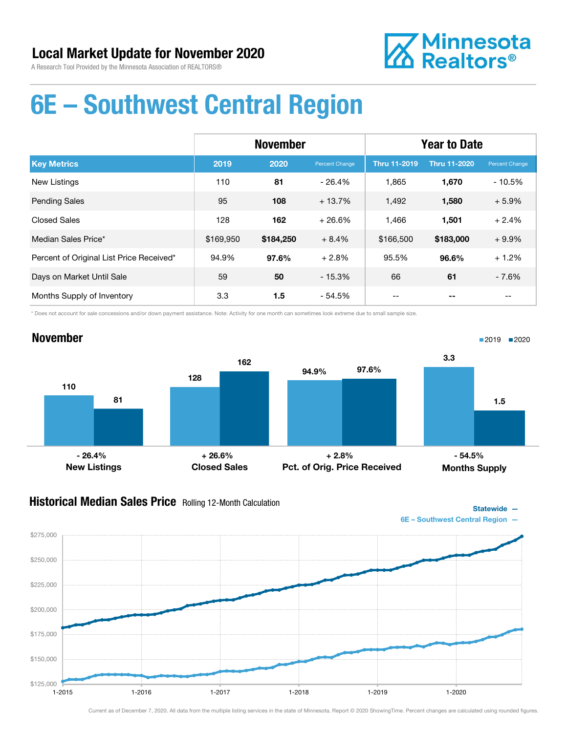

### 6E – Southwest Central Region

|                                          | <b>November</b> |           |                | <b>Year to Date</b> |                     |                |
|------------------------------------------|-----------------|-----------|----------------|---------------------|---------------------|----------------|
| <b>Key Metrics</b>                       | 2019            | 2020      | Percent Change | <b>Thru 11-2019</b> | <b>Thru 11-2020</b> | Percent Change |
| <b>New Listings</b>                      | 110             | 81        | $-26.4%$       | 1,865               | 1,670               | $-10.5%$       |
| <b>Pending Sales</b>                     | 95              | 108       | $+13.7%$       | 1,492               | 1,580               | $+5.9%$        |
| <b>Closed Sales</b>                      | 128             | 162       | $+26.6%$       | 1,466               | 1,501               | $+2.4%$        |
| Median Sales Price*                      | \$169,950       | \$184,250 | $+8.4%$        | \$166,500           | \$183,000           | $+9.9%$        |
| Percent of Original List Price Received* | 94.9%           | 97.6%     | $+2.8%$        | 95.5%               | 96.6%               | $+1.2%$        |
| Days on Market Until Sale                | 59              | 50        | $-15.3%$       | 66                  | 61                  | $-7.6%$        |
| Months Supply of Inventory               | 3.3             | 1.5       | - 54.5%        |                     |                     |                |

\* Does not account for sale concessions and/or down payment assistance. Note: Activity for one month can sometimes look extreme due to small sample size.



#### **Historical Median Sales Price** Rolling 12-Month Calculation



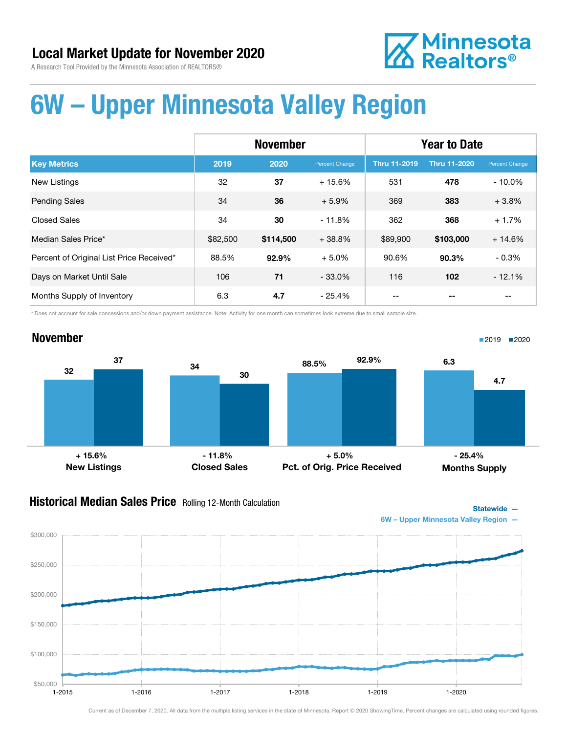November

# **Z** Minnesota<br>**ZA** Realtors<sup>®</sup>

## 6W – Upper Minnesota Valley Region

|                                          | <b>November</b> |           |                | <b>Year to Date</b> |                     |                |
|------------------------------------------|-----------------|-----------|----------------|---------------------|---------------------|----------------|
| <b>Key Metrics</b>                       | 2019            | 2020      | Percent Change | <b>Thru 11-2019</b> | <b>Thru 11-2020</b> | Percent Change |
| <b>New Listings</b>                      | 32              | 37        | $+15.6%$       | 531                 | 478                 | $-10.0\%$      |
| <b>Pending Sales</b>                     | 34              | 36        | $+5.9%$        | 369                 | 383                 | $+3.8%$        |
| <b>Closed Sales</b>                      | 34              | 30        | $-11.8%$       | 362                 | 368                 | $+1.7%$        |
| Median Sales Price*                      | \$82,500        | \$114,500 | $+38.8%$       | \$89,900            | \$103,000           | $+14.6%$       |
| Percent of Original List Price Received* | 88.5%           | 92.9%     | $+5.0%$        | 90.6%               | 90.3%               | $-0.3%$        |
| Days on Market Until Sale                | 106             | 71        | $-33.0\%$      | 116                 | 102                 | $-12.1%$       |
| Months Supply of Inventory               | 6.3             | 4.7       | $-25.4%$       |                     |                     |                |

\* Does not account for sale concessions and/or down payment assistance. Note: Activity for one month can sometimes look extreme due to small sample size.

#### $32$   $34$ 37 30 New Listings Closed Sales 88.5% 92.9% Pct. of Orig. Price Received 6.3 4.7 Months Supply + 15.6% - 11.8% + 5.0% - 25.4%

#### **Historical Median Sales Price** Rolling 12-Month Calculation



■2019 2020

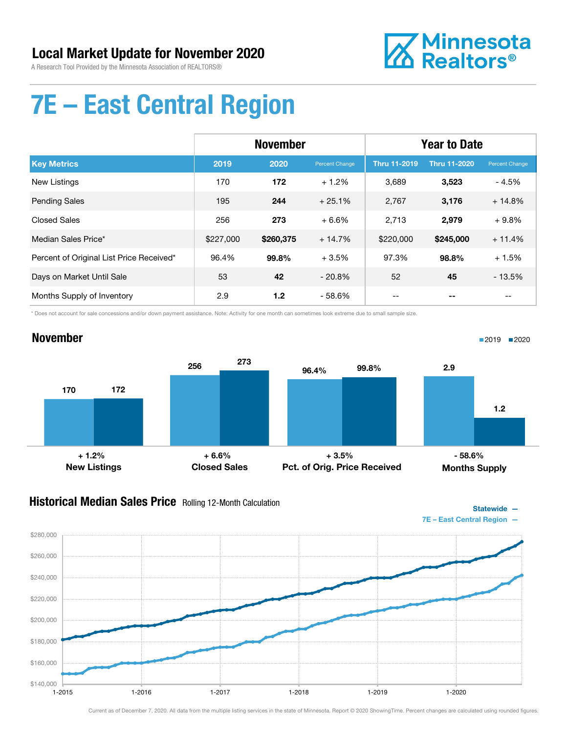

Statewide —

## 7E – East Central Region

|                                          | <b>November</b> |           |                | <b>Year to Date</b> |                     |                |
|------------------------------------------|-----------------|-----------|----------------|---------------------|---------------------|----------------|
| <b>Key Metrics</b>                       | 2019            | 2020      | Percent Change | <b>Thru 11-2019</b> | <b>Thru 11-2020</b> | Percent Change |
| <b>New Listings</b>                      | 170             | 172       | $+1.2%$        | 3,689               | 3,523               | $-4.5%$        |
| <b>Pending Sales</b>                     | 195             | 244       | $+25.1%$       | 2,767               | 3,176               | $+14.8%$       |
| <b>Closed Sales</b>                      | 256             | 273       | $+6.6%$        | 2,713               | 2,979               | $+9.8%$        |
| Median Sales Price*                      | \$227,000       | \$260,375 | $+14.7%$       | \$220,000           | \$245,000           | $+11.4%$       |
| Percent of Original List Price Received* | 96.4%           | 99.8%     | $+3.5%$        | 97.3%               | 98.8%               | $+1.5%$        |
| Days on Market Until Sale                | 53              | 42        | $-20.8%$       | 52                  | 45                  | $-13.5%$       |
| Months Supply of Inventory               | 2.9             | 1.2       | - 58.6%        |                     |                     |                |

\* Does not account for sale concessions and/or down payment assistance. Note: Activity for one month can sometimes look extreme due to small sample size.

#### November 170 256 172 273 New Listings Closed Sales 96.4% 99.8% Pct. of Orig. Price Received 2.9 1.2 Months Supply ■2019 ■2020  $+ 1.2\%$  + 6.6%  $+ 6.6\%$  + 5.5%  $-58.6\%$

### Historical Median Sales Price Rolling 12-Month Calculation

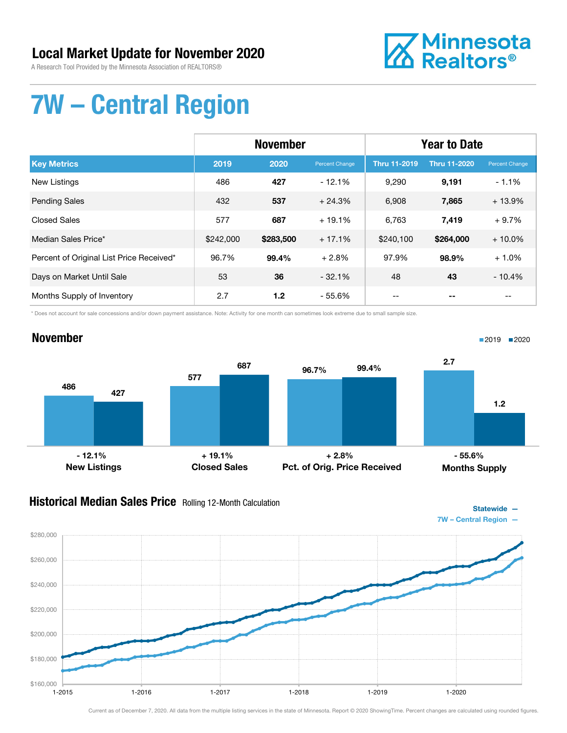### Local Market Update for November 2020

A Research Tool Provided by the Minnesota Association of REALTORS®



## 7W – Central Region

|                                          | <b>November</b> |           |                | <b>Year to Date</b> |                     |                |
|------------------------------------------|-----------------|-----------|----------------|---------------------|---------------------|----------------|
| <b>Key Metrics</b>                       | 2019            | 2020      | Percent Change | <b>Thru 11-2019</b> | <b>Thru 11-2020</b> | Percent Change |
| <b>New Listings</b>                      | 486             | 427       | $-12.1%$       | 9,290               | 9,191               | $-1.1%$        |
| <b>Pending Sales</b>                     | 432             | 537       | $+24.3%$       | 6,908               | 7,865               | $+13.9%$       |
| <b>Closed Sales</b>                      | 577             | 687       | $+19.1%$       | 6,763               | 7,419               | $+9.7%$        |
| Median Sales Price*                      | \$242,000       | \$283,500 | $+17.1%$       | \$240,100           | \$264,000           | $+10.0\%$      |
| Percent of Original List Price Received* | 96.7%           | 99.4%     | $+2.8%$        | 97.9%               | 98.9%               | $+1.0%$        |
| Days on Market Until Sale                | 53              | 36        | $-32.1%$       | 48                  | 43                  | $-10.4%$       |
| Months Supply of Inventory               | 2.7             | 1.2       | $-55.6%$       |                     |                     |                |

\* Does not account for sale concessions and/or down payment assistance. Note: Activity for one month can sometimes look extreme due to small sample size.



### **Historical Median Sales Price** Rolling 12-Month Calculation



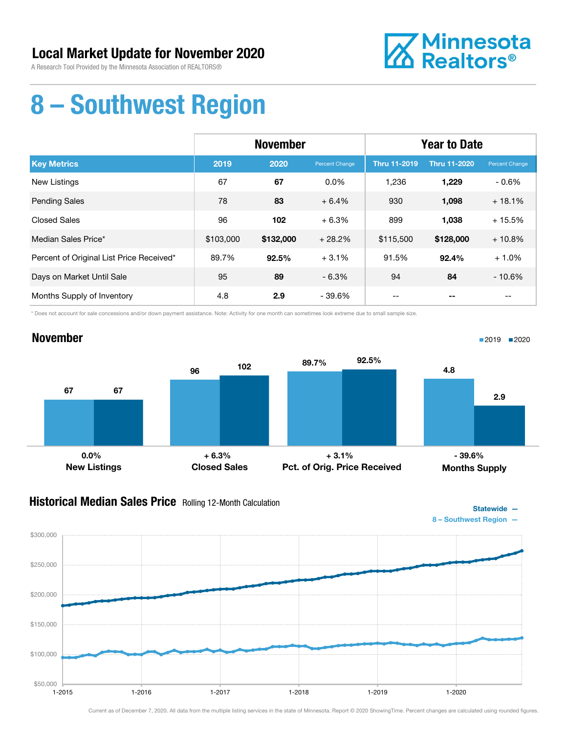November



### 8 – Southwest Region

|                                          | <b>November</b> |           |                | <b>Year to Date</b> |                     |                |
|------------------------------------------|-----------------|-----------|----------------|---------------------|---------------------|----------------|
| <b>Key Metrics</b>                       | 2019            | 2020      | Percent Change | <b>Thru 11-2019</b> | <b>Thru 11-2020</b> | Percent Change |
| New Listings                             | 67              | 67        | $0.0\%$        | 1,236               | 1,229               | $-0.6\%$       |
| <b>Pending Sales</b>                     | 78              | 83        | $+6.4%$        | 930                 | 1,098               | $+18.1%$       |
| <b>Closed Sales</b>                      | 96              | 102       | $+6.3%$        | 899                 | 1,038               | $+15.5%$       |
| Median Sales Price*                      | \$103,000       | \$132,000 | $+28.2%$       | \$115,500           | \$128,000           | $+10.8%$       |
| Percent of Original List Price Received* | 89.7%           | 92.5%     | $+3.1%$        | 91.5%               | 92.4%               | $+1.0%$        |
| Days on Market Until Sale                | 95              | 89        | $-6.3%$        | 94                  | 84                  | $-10.6%$       |
| Months Supply of Inventory               | 4.8             | 2.9       | - 39.6%        |                     |                     |                |

\* Does not account for sale concessions and/or down payment assistance. Note: Activity for one month can sometimes look extreme due to small sample size.

#### 67 96 67 102 New Listings Closed Sales 89.7% 92.5% Pct. of Orig. Price Received 4.8 2.9 Months Supply  $-0.0\%$  + 6.3% + 6.3% + 3.1% + 3.1% + 3.1% + 3.1%

#### **Historical Median Sales Price** Rolling 12-Month Calculation



1-2015 1-2016 1-2017 1-2018 1-2019 1-2020

Statewide —

■2019 2020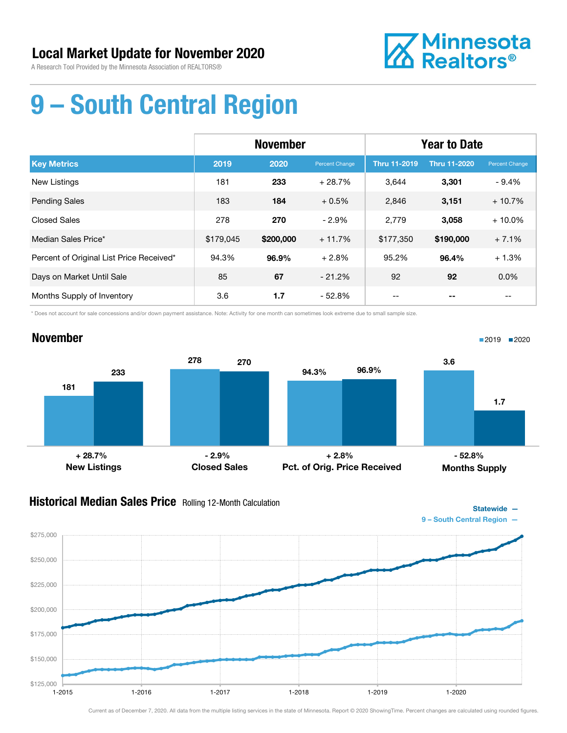November



## 9 – South Central Region

|                                          | <b>November</b> |           |                | <b>Year to Date</b> |                     |                |
|------------------------------------------|-----------------|-----------|----------------|---------------------|---------------------|----------------|
| <b>Key Metrics</b>                       | 2019            | 2020      | Percent Change | <b>Thru 11-2019</b> | <b>Thru 11-2020</b> | Percent Change |
| <b>New Listings</b>                      | 181             | 233       | $+28.7%$       | 3.644               | 3,301               | $-9.4%$        |
| <b>Pending Sales</b>                     | 183             | 184       | $+0.5%$        | 2,846               | 3,151               | $+10.7%$       |
| <b>Closed Sales</b>                      | 278             | 270       | $-2.9%$        | 2,779               | 3,058               | $+10.0\%$      |
| Median Sales Price*                      | \$179.045       | \$200,000 | $+11.7%$       | \$177,350           | \$190,000           | $+7.1%$        |
| Percent of Original List Price Received* | 94.3%           | 96.9%     | $+2.8%$        | 95.2%               | 96.4%               | $+1.3%$        |
| Days on Market Until Sale                | 85              | 67        | $-21.2%$       | 92                  | 92                  | $0.0\%$        |
| Months Supply of Inventory               | 3.6             | 1.7       | $-52.8%$       | --                  |                     | --             |

\* Does not account for sale concessions and/or down payment assistance. Note: Activity for one month can sometimes look extreme due to small sample size.

#### 181 278 233 270 New Listings Closed Sales 94.3% 96.9% Pct. of Orig. Price Received 3.6 1.7 Months Supply + 28.7% - 2.9% + 2.8% - 52.8%

### **Historical Median Sales Price** Rolling 12-Month Calculation



■2019 2020

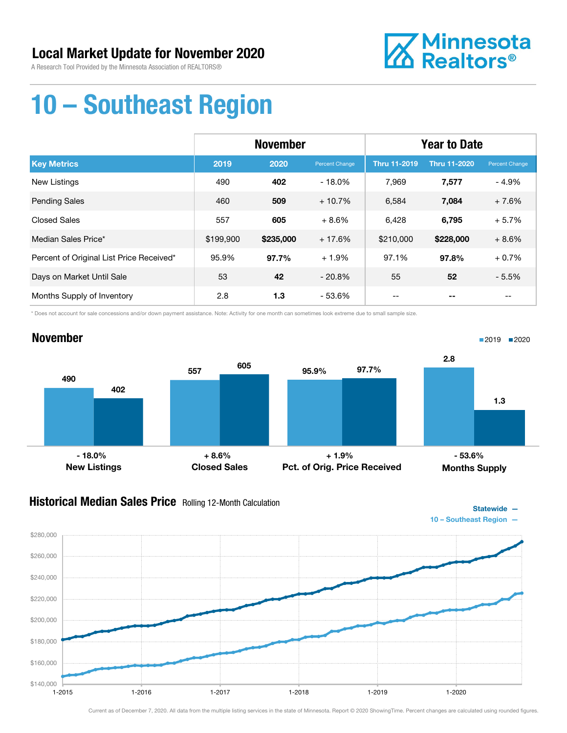

## 10 – Southeast Region

|                                          | <b>November</b> |           |                | <b>Year to Date</b> |                     |                |
|------------------------------------------|-----------------|-----------|----------------|---------------------|---------------------|----------------|
| <b>Key Metrics</b>                       | 2019            | 2020      | Percent Change | Thru 11-2019        | <b>Thru 11-2020</b> | Percent Change |
| New Listings                             | 490             | 402       | $-18.0%$       | 7.969               | 7,577               | - 4.9%         |
| <b>Pending Sales</b>                     | 460             | 509       | $+10.7%$       | 6,584               | 7,084               | $+7.6%$        |
| <b>Closed Sales</b>                      | 557             | 605       | $+8.6%$        | 6,428               | 6,795               | $+5.7%$        |
| Median Sales Price*                      | \$199,900       | \$235,000 | $+17.6%$       | \$210,000           | \$228,000           | $+8.6%$        |
| Percent of Original List Price Received* | 95.9%           | 97.7%     | $+1.9%$        | 97.1%               | 97.8%               | $+0.7%$        |
| Days on Market Until Sale                | 53              | 42        | $-20.8%$       | 55                  | 52                  | $-5.5%$        |
| Months Supply of Inventory               | 2.8             | 1.3       | $-53.6%$       | --                  |                     | $- -$          |

\* Does not account for sale concessions and/or down payment assistance. Note: Activity for one month can sometimes look extreme due to small sample size.



### Historical Median Sales Price Rolling 12-Month Calculation